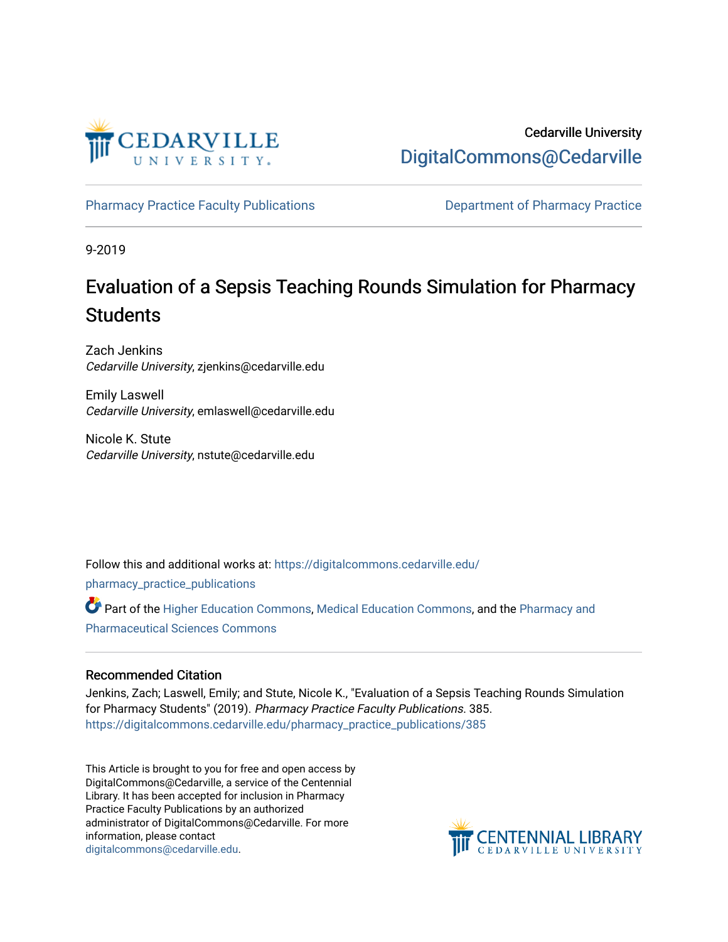

Cedarville University [DigitalCommons@Cedarville](https://digitalcommons.cedarville.edu/) 

[Pharmacy Practice Faculty Publications](https://digitalcommons.cedarville.edu/pharmacy_practice_publications) **Department of Pharmacy Practice** 

9-2019

# Evaluation of a Sepsis Teaching Rounds Simulation for Pharmacy **Students**

Zach Jenkins Cedarville University, zjenkins@cedarville.edu

Emily Laswell Cedarville University, emlaswell@cedarville.edu

Nicole K. Stute Cedarville University, nstute@cedarville.edu

Follow this and additional works at: [https://digitalcommons.cedarville.edu/](https://digitalcommons.cedarville.edu/pharmacy_practice_publications?utm_source=digitalcommons.cedarville.edu%2Fpharmacy_practice_publications%2F385&utm_medium=PDF&utm_campaign=PDFCoverPages)

[pharmacy\\_practice\\_publications](https://digitalcommons.cedarville.edu/pharmacy_practice_publications?utm_source=digitalcommons.cedarville.edu%2Fpharmacy_practice_publications%2F385&utm_medium=PDF&utm_campaign=PDFCoverPages)

Part of the [Higher Education Commons,](http://network.bepress.com/hgg/discipline/1245?utm_source=digitalcommons.cedarville.edu%2Fpharmacy_practice_publications%2F385&utm_medium=PDF&utm_campaign=PDFCoverPages) [Medical Education Commons](http://network.bepress.com/hgg/discipline/1125?utm_source=digitalcommons.cedarville.edu%2Fpharmacy_practice_publications%2F385&utm_medium=PDF&utm_campaign=PDFCoverPages), and the [Pharmacy and](http://network.bepress.com/hgg/discipline/731?utm_source=digitalcommons.cedarville.edu%2Fpharmacy_practice_publications%2F385&utm_medium=PDF&utm_campaign=PDFCoverPages)  [Pharmaceutical Sciences Commons](http://network.bepress.com/hgg/discipline/731?utm_source=digitalcommons.cedarville.edu%2Fpharmacy_practice_publications%2F385&utm_medium=PDF&utm_campaign=PDFCoverPages) 

### Recommended Citation

Jenkins, Zach; Laswell, Emily; and Stute, Nicole K., "Evaluation of a Sepsis Teaching Rounds Simulation for Pharmacy Students" (2019). Pharmacy Practice Faculty Publications. 385. [https://digitalcommons.cedarville.edu/pharmacy\\_practice\\_publications/385](https://digitalcommons.cedarville.edu/pharmacy_practice_publications/385?utm_source=digitalcommons.cedarville.edu%2Fpharmacy_practice_publications%2F385&utm_medium=PDF&utm_campaign=PDFCoverPages) 

This Article is brought to you for free and open access by DigitalCommons@Cedarville, a service of the Centennial Library. It has been accepted for inclusion in Pharmacy Practice Faculty Publications by an authorized administrator of DigitalCommons@Cedarville. For more information, please contact [digitalcommons@cedarville.edu](mailto:digitalcommons@cedarville.edu).

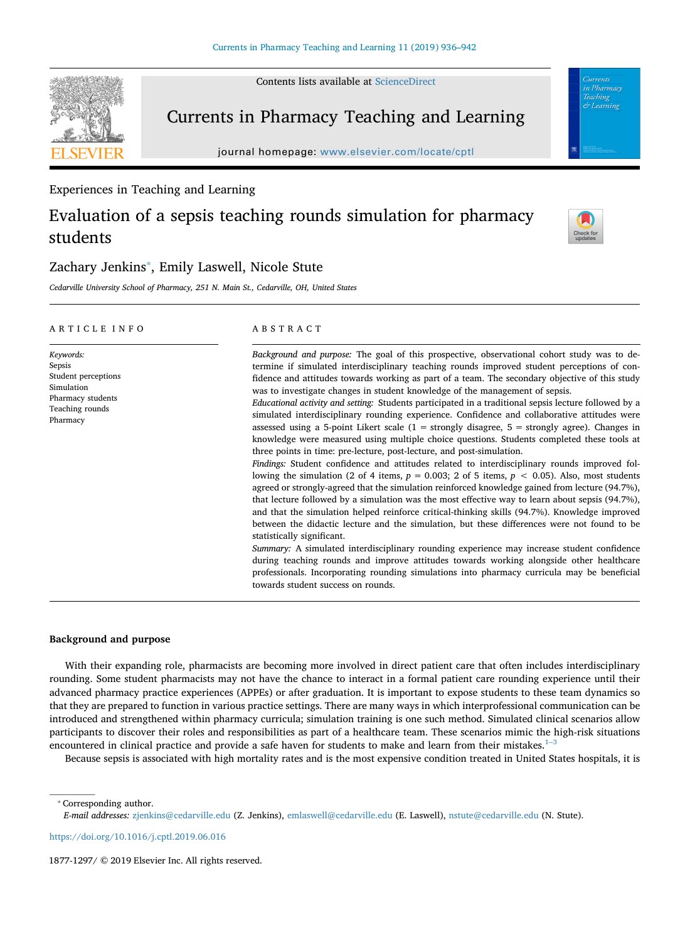Contents lists available at [ScienceDirect](http://www.sciencedirect.com/science/journal/18771297)

### Currents in Pharmacy Teaching and Learning

journal homepage: [www.elsevier.com/locate/cptl](https://www.elsevier.com/locate/cptl)

#### Experiences in Teaching and Learning

## Evaluation of a sepsis teaching rounds simulation for pharmacy students



& Learning

### Zachary Jenkins<sup>\*</sup>, Emily Laswell, Nicole Stute

*Cedarville University School of Pharmacy, 251 N. Main St., Cedarville, OH, United States*

#### ARTICLE INFO

*Keywords:* Sepsis Student perceptions Simulation Pharmacy students Teaching rounds Pharmacy

#### ABSTRACT

*Background and purpose:* The goal of this prospective, observational cohort study was to determine if simulated interdisciplinary teaching rounds improved student perceptions of confidence and attitudes towards working as part of a team. The secondary objective of this study was to investigate changes in student knowledge of the management of sepsis.

*Educational activity and setting:* Students participated in a traditional sepsis lecture followed by a simulated interdisciplinary rounding experience. Confidence and collaborative attitudes were assessed using a 5-point Likert scale  $(1 =$  strongly disagree,  $5 =$  strongly agree). Changes in knowledge were measured using multiple choice questions. Students completed these tools at three points in time: pre-lecture, post-lecture, and post-simulation.

*Findings:* Student confidence and attitudes related to interdisciplinary rounds improved following the simulation (2 of 4 items, *p* = 0.003; 2 of 5 items, *p* < 0.05). Also, most students agreed or strongly-agreed that the simulation reinforced knowledge gained from lecture (94.7%), that lecture followed by a simulation was the most effective way to learn about sepsis (94.7%), and that the simulation helped reinforce critical-thinking skills (94.7%). Knowledge improved between the didactic lecture and the simulation, but these differences were not found to be statistically significant.

*Summary:* A simulated interdisciplinary rounding experience may increase student confidence during teaching rounds and improve attitudes towards working alongside other healthcare professionals. Incorporating rounding simulations into pharmacy curricula may be beneficial towards student success on rounds.

#### **Background and purpose**

With their expanding role, pharmacists are becoming more involved in direct patient care that often includes interdisciplinary rounding. Some student pharmacists may not have the chance to interact in a formal patient care rounding experience until their advanced pharmacy practice experiences (APPEs) or after graduation. It is important to expose students to these team dynamics so that they are prepared to function in various practice settings. There are many ways in which interprofessional communication can be introduced and strengthened within pharmacy curricula; simulation training is one such method. Simulated clinical scenarios allow participants to discover their roles and responsibilities as part of a healthcare team. These scenarios mimic the high-risk situations encountered in clinical practice and provide a safe haven for students to make and learn from their mistakes.<sup>1-3</sup>

Because sepsis is associated with high mortality rates and is the most expensive condition treated in United States hospitals, it is

<span id="page-1-0"></span>⁎ Corresponding author.

<https://doi.org/10.1016/j.cptl.2019.06.016>

*E-mail addresses:* [zjenkins@cedarville.edu](mailto:zjenkins@cedarville.edu) (Z. Jenkins), [emlaswell@cedarville.edu](mailto:emlaswell@cedarville.edu) (E. Laswell), [nstute@cedarville.edu](mailto:nstute@cedarville.edu) (N. Stute).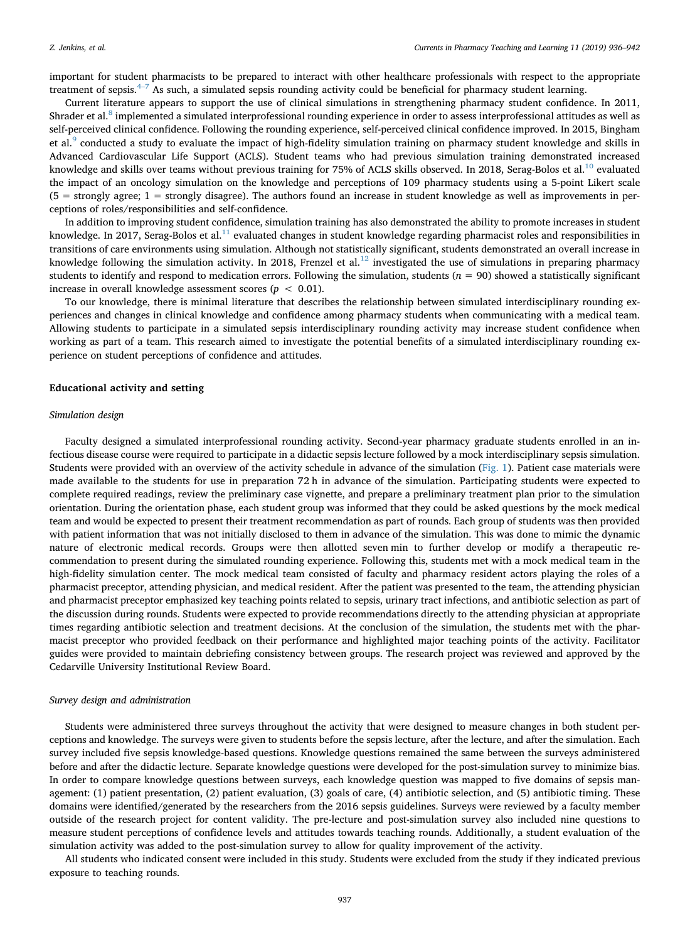important for student pharmacists to be prepared to interact with other healthcare professionals with respect to the appropriate treatment of sepsis.<sup>[4–7](#page-6-1)</sup> As such, a simulated sepsis rounding activity could be beneficial for pharmacy student learning.

Current literature appears to support the use of clinical simulations in strengthening pharmacy student confidence. In 2011, Shrader et al.<sup>[8](#page-7-0)</sup> implemented a simulated interprofessional rounding experience in order to assess interprofessional attitudes as well as self-perceived clinical confidence. Following the rounding experience, self-perceived clinical confidence improved. In 2015, Bingham et al.<sup>9</sup> conducted a study to evaluate the impact of high-fidelity simulation training on pharmacy student knowledge and skills in Advanced Cardiovascular Life Support (ACLS). Student teams who had previous simulation training demonstrated increased knowledge and skills over teams without previous training for 75% of ACLS skills observed. In 2018, Serag-Bolos et al.<sup>[10](#page-7-2)</sup> evaluated the impact of an oncology simulation on the knowledge and perceptions of 109 pharmacy students using a 5-point Likert scale (5 = strongly agree; 1 = strongly disagree). The authors found an increase in student knowledge as well as improvements in perceptions of roles/responsibilities and self-confidence.

In addition to improving student confidence, simulation training has also demonstrated the ability to promote increases in student knowledge. In 2017, Serag-Bolos et al.<sup>[11](#page-7-3)</sup> evaluated changes in student knowledge regarding pharmacist roles and responsibilities in transitions of care environments using simulation. Although not statistically significant, students demonstrated an overall increase in knowledge following the simulation activity. In 2018, Frenzel et al.<sup>[12](#page-7-4)</sup> investigated the use of simulations in preparing pharmacy students to identify and respond to medication errors. Following the simulation, students  $(n = 90)$  showed a statistically significant increase in overall knowledge assessment scores (*p <* 0.01).

To our knowledge, there is minimal literature that describes the relationship between simulated interdisciplinary rounding experiences and changes in clinical knowledge and confidence among pharmacy students when communicating with a medical team. Allowing students to participate in a simulated sepsis interdisciplinary rounding activity may increase student confidence when working as part of a team. This research aimed to investigate the potential benefits of a simulated interdisciplinary rounding experience on student perceptions of confidence and attitudes.

#### **Educational activity and setting**

#### *Simulation design*

Faculty designed a simulated interprofessional rounding activity. Second-year pharmacy graduate students enrolled in an infectious disease course were required to participate in a didactic sepsis lecture followed by a mock interdisciplinary sepsis simulation. Students were provided with an overview of the activity schedule in advance of the simulation ([Fig. 1\)](#page-3-0). Patient case materials were made available to the students for use in preparation 72 h in advance of the simulation. Participating students were expected to complete required readings, review the preliminary case vignette, and prepare a preliminary treatment plan prior to the simulation orientation. During the orientation phase, each student group was informed that they could be asked questions by the mock medical team and would be expected to present their treatment recommendation as part of rounds. Each group of students was then provided with patient information that was not initially disclosed to them in advance of the simulation. This was done to mimic the dynamic nature of electronic medical records. Groups were then allotted seven min to further develop or modify a therapeutic recommendation to present during the simulated rounding experience. Following this, students met with a mock medical team in the high-fidelity simulation center. The mock medical team consisted of faculty and pharmacy resident actors playing the roles of a pharmacist preceptor, attending physician, and medical resident. After the patient was presented to the team, the attending physician and pharmacist preceptor emphasized key teaching points related to sepsis, urinary tract infections, and antibiotic selection as part of the discussion during rounds. Students were expected to provide recommendations directly to the attending physician at appropriate times regarding antibiotic selection and treatment decisions. At the conclusion of the simulation, the students met with the pharmacist preceptor who provided feedback on their performance and highlighted major teaching points of the activity. Facilitator guides were provided to maintain debriefing consistency between groups. The research project was reviewed and approved by the Cedarville University Institutional Review Board.

#### *Survey design and administration*

Students were administered three surveys throughout the activity that were designed to measure changes in both student perceptions and knowledge. The surveys were given to students before the sepsis lecture, after the lecture, and after the simulation. Each survey included five sepsis knowledge-based questions. Knowledge questions remained the same between the surveys administered before and after the didactic lecture. Separate knowledge questions were developed for the post-simulation survey to minimize bias. In order to compare knowledge questions between surveys, each knowledge question was mapped to five domains of sepsis management: (1) patient presentation, (2) patient evaluation, (3) goals of care, (4) antibiotic selection, and (5) antibiotic timing. These domains were identified/generated by the researchers from the 2016 sepsis guidelines. Surveys were reviewed by a faculty member outside of the research project for content validity. The pre-lecture and post-simulation survey also included nine questions to measure student perceptions of confidence levels and attitudes towards teaching rounds. Additionally, a student evaluation of the simulation activity was added to the post-simulation survey to allow for quality improvement of the activity.

All students who indicated consent were included in this study. Students were excluded from the study if they indicated previous exposure to teaching rounds.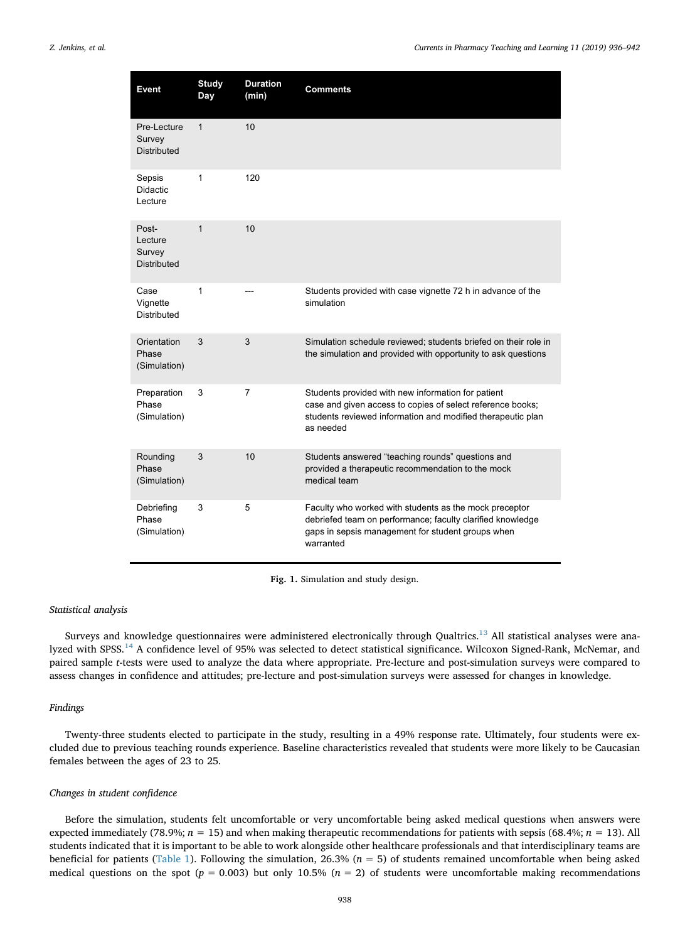<span id="page-3-0"></span>

| Event                                       | <b>Study</b><br>Day | <b>Duration</b><br>(min) | <b>Comments</b>                                                                                                                                                                              |
|---------------------------------------------|---------------------|--------------------------|----------------------------------------------------------------------------------------------------------------------------------------------------------------------------------------------|
| Pre-Lecture<br>Survey<br><b>Distributed</b> | $\mathbf{1}$        | 10                       |                                                                                                                                                                                              |
| Sepsis<br><b>Didactic</b><br>Lecture        | 1                   | 120                      |                                                                                                                                                                                              |
| Post-<br>Lecture<br>Survey<br>Distributed   | 1                   | 10                       |                                                                                                                                                                                              |
| Case<br>Vignette<br>Distributed             | 1                   |                          | Students provided with case vignette 72 h in advance of the<br>simulation                                                                                                                    |
| Orientation<br>Phase<br>(Simulation)        | 3                   | 3                        | Simulation schedule reviewed; students briefed on their role in<br>the simulation and provided with opportunity to ask questions                                                             |
| Preparation<br>Phase<br>(Simulation)        | 3                   | $\overline{7}$           | Students provided with new information for patient<br>case and given access to copies of select reference books;<br>students reviewed information and modified therapeutic plan<br>as needed |
| Rounding<br>Phase<br>(Simulation)           | 3                   | 10                       | Students answered "teaching rounds" questions and<br>provided a therapeutic recommendation to the mock<br>medical team                                                                       |
| Debriefing<br>Phase<br>(Simulation)         | 3                   | 5                        | Faculty who worked with students as the mock preceptor<br>debriefed team on performance; faculty clarified knowledge<br>gaps in sepsis management for student groups when<br>warranted       |

**Fig. 1.** Simulation and study design.

#### *Statistical analysis*

Surveys and knowledge questionnaires were administered electronically through Qualtrics.<sup>13</sup> All statistical analyses were ana-lyzed with SPSS.<sup>[14](#page-7-6)</sup> A confidence level of 95% was selected to detect statistical significance. Wilcoxon Signed-Rank, McNemar, and paired sample *t*-tests were used to analyze the data where appropriate. Pre-lecture and post-simulation surveys were compared to assess changes in confidence and attitudes; pre-lecture and post-simulation surveys were assessed for changes in knowledge.

#### *Findings*

Twenty-three students elected to participate in the study, resulting in a 49% response rate. Ultimately, four students were excluded due to previous teaching rounds experience. Baseline characteristics revealed that students were more likely to be Caucasian females between the ages of 23 to 25.

#### *Changes in student confidence*

Before the simulation, students felt uncomfortable or very uncomfortable being asked medical questions when answers were expected immediately (78.9%; *n* = 15) and when making therapeutic recommendations for patients with sepsis (68.4%; *n* = 13). All students indicated that it is important to be able to work alongside other healthcare professionals and that interdisciplinary teams are beneficial for patients [\(Table 1](#page-4-0)). Following the simulation, 26.3% (*n* = 5) of students remained uncomfortable when being asked medical questions on the spot ( $p = 0.003$ ) but only 10.5% ( $n = 2$ ) of students were uncomfortable making recommendations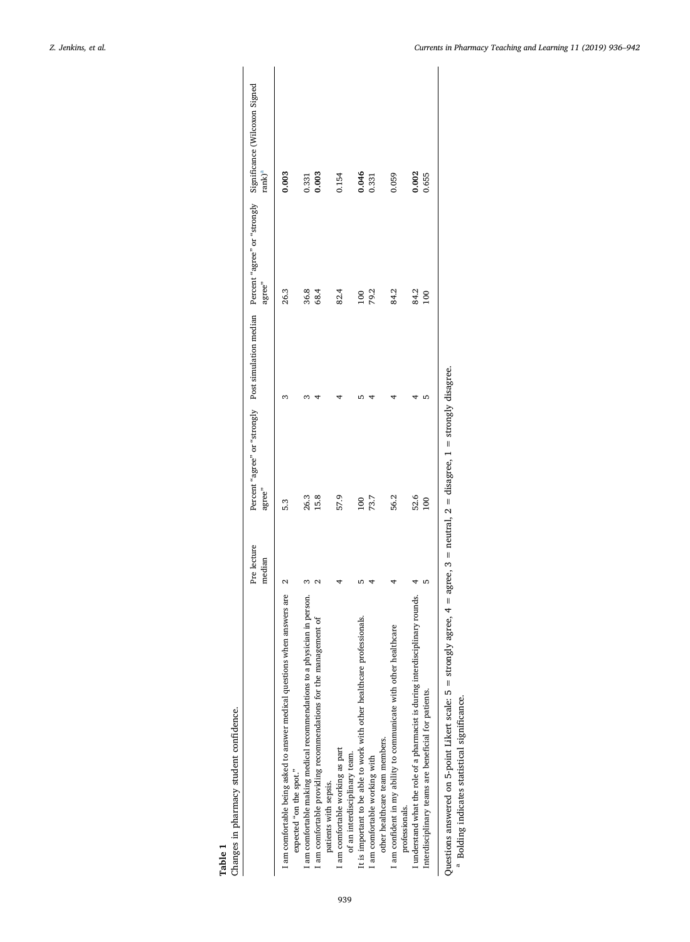<span id="page-4-1"></span><span id="page-4-0"></span>

|                                                                                                      | Pre lecture<br>median | agree"   | agree" | Percent "agree" or "strongly Post simulation median Percent "agree" or "strongly Significance (Wilcoxon Signed<br>rank) <sup>a</sup> |
|------------------------------------------------------------------------------------------------------|-----------------------|----------|--------|--------------------------------------------------------------------------------------------------------------------------------------|
| I am comfortable being asked to answer medical questions when answers are<br>expected "on the spot." |                       | 5.3      | 26.3   | 0.003                                                                                                                                |
| in person.<br>I am comfortable making medical recommendations to a physician                         |                       | 26.3     | 36.8   | 0.331                                                                                                                                |
| I am comfortable providing recommendations for the management of<br>patients with sepsis.            |                       | 15.8     | 68.4   | 0.003                                                                                                                                |
| am comfortable working as part<br>of an interdisciplinary team.                                      |                       | 57.9     | 82.4   | 0.154                                                                                                                                |
| It is important to be able to work with other healthcare professionals.                              |                       | 100      | 100    | 0.046                                                                                                                                |
| other healthcare team members.<br>I am comfortable working with                                      |                       | 73.7     | 79.2   | 0.331                                                                                                                                |
| am confident in my ability to communicate with other healthcare<br>professionals.                    |                       | 56.2     | 84.2   | 0.059                                                                                                                                |
| I understand what the role of a pharmacist is during interdisciplinary rounds.                       |                       | 52.6     | 84.2   | 0.002                                                                                                                                |
| Interdisciplinary teams are beneficial for patients.                                                 |                       | $^{100}$ | 100    | 0.655                                                                                                                                |
| $\begin{bmatrix} 1 & 1 & 1 \\ 1 & 1 & 1 \\ 1 & 1 & 1 \end{bmatrix}$                                  |                       |          |        |                                                                                                                                      |

Questions answered on 5-point Likert scale:  $5 =$  strongly agree,  $4 =$  agree,  $3 =$  neutral,  $2 =$  disagree,  $1 =$  strongly disagree. Questions answered on 5-point Likert scale:  $5 =$  strongly agree,  $4 =$  agree,  $3 =$  neutral,  $2 =$  disagree,  $1 =$  strongly disagree.<br><sup>a</sup> Bolding indicates statistical significance. Bolding indicates statistical significance.

**Table 1**

Changes in pharmacy student confidence.

Changes in pharmacy student confidence.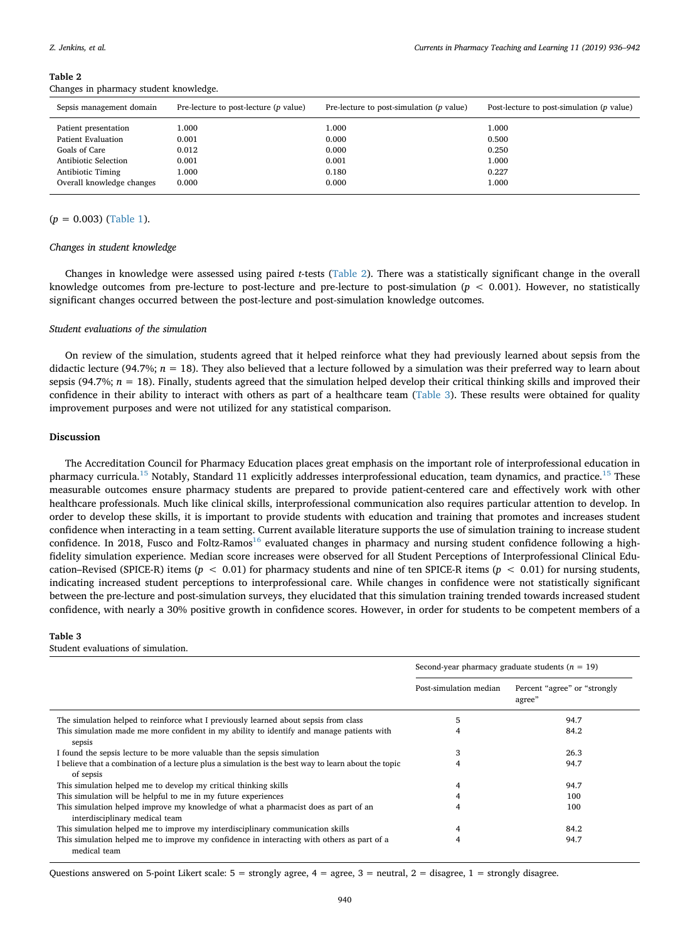| Sepsis management domain  | Pre-lecture to post-lecture $(p$ value) | Pre-lecture to post-simulation $(p \text{ value})$ | Post-lecture to post-simulation ( $p$ value) |
|---------------------------|-----------------------------------------|----------------------------------------------------|----------------------------------------------|
| Patient presentation      | 1.000                                   | 1.000                                              | 1.000                                        |
| <b>Patient Evaluation</b> | 0.001                                   | 0.000                                              | 0.500                                        |
| Goals of Care             | 0.012                                   | 0.000                                              | 0.250                                        |
| Antibiotic Selection      | 0.001                                   | 0.001                                              | 1.000                                        |
| Antibiotic Timing         | 1.000                                   | 0.180                                              | 0.227                                        |
| Overall knowledge changes | 0.000                                   | 0.000                                              | 1.000                                        |
|                           |                                         |                                                    |                                              |

#### <span id="page-5-0"></span>**Table 2** Changes in pharmacy student knowledge.

#### (*p* = 0.003) ([Table 1](#page-4-0)).

#### *Changes in student knowledge*

Changes in knowledge were assessed using paired *t*-tests [\(Table 2\)](#page-5-0). There was a statistically significant change in the overall knowledge outcomes from pre-lecture to post-lecture and pre-lecture to post-simulation ( $p < 0.001$ ). However, no statistically significant changes occurred between the post-lecture and post-simulation knowledge outcomes.

#### *Student evaluations of the simulation*

On review of the simulation, students agreed that it helped reinforce what they had previously learned about sepsis from the didactic lecture (94.7%;  $n = 18$ ). They also believed that a lecture followed by a simulation was their preferred way to learn about sepsis (94.7%;  $n = 18$ ). Finally, students agreed that the simulation helped develop their critical thinking skills and improved their confidence in their ability to interact with others as part of a healthcare team [\(Table 3](#page-5-1)). These results were obtained for quality improvement purposes and were not utilized for any statistical comparison.

#### **Discussion**

The Accreditation Council for Pharmacy Education places great emphasis on the important role of interprofessional education in pharmacy curricula.<sup>[15](#page-7-7)</sup> Notably, Standard 11 explicitly addresses interprofessional education, team dynamics, and practice.<sup>15</sup> These measurable outcomes ensure pharmacy students are prepared to provide patient-centered care and effectively work with other healthcare professionals. Much like clinical skills, interprofessional communication also requires particular attention to develop. In order to develop these skills, it is important to provide students with education and training that promotes and increases student confidence when interacting in a team setting. Current available literature supports the use of simulation training to increase student confidence. In 2018, Fusco and Foltz-Ramos<sup>[16](#page-7-8)</sup> evaluated changes in pharmacy and nursing student confidence following a highfidelity simulation experience. Median score increases were observed for all Student Perceptions of Interprofessional Clinical Education–Revised (SPICE-R) items (*p* < 0.01) for pharmacy students and nine of ten SPICE-R items (*p* < 0.01) for nursing students, indicating increased student perceptions to interprofessional care. While changes in confidence were not statistically significant between the pre-lecture and post-simulation surveys, they elucidated that this simulation training trended towards increased student confidence, with nearly a 30% positive growth in confidence scores. However, in order for students to be competent members of a

#### <span id="page-5-1"></span>**Table 3**

#### Student evaluations of simulation.

|                                                                                                                       | Second-year pharmacy graduate students ( $n = 19$ ) |                                         |
|-----------------------------------------------------------------------------------------------------------------------|-----------------------------------------------------|-----------------------------------------|
|                                                                                                                       | Post-simulation median                              | Percent "agree" or "strongly"<br>agree" |
| The simulation helped to reinforce what I previously learned about sepsis from class                                  | 5                                                   | 94.7                                    |
| This simulation made me more confident in my ability to identify and manage patients with<br>sepsis                   |                                                     | 84.2                                    |
| I found the sepsis lecture to be more valuable than the sepsis simulation                                             | 3                                                   | 26.3                                    |
| I believe that a combination of a lecture plus a simulation is the best way to learn about the topic<br>of sepsis     | 4                                                   | 94.7                                    |
| This simulation helped me to develop my critical thinking skills                                                      |                                                     | 94.7                                    |
| This simulation will be helpful to me in my future experiences                                                        |                                                     | 100                                     |
| This simulation helped improve my knowledge of what a pharmacist does as part of an<br>interdisciplinary medical team |                                                     | 100                                     |
| This simulation helped me to improve my interdisciplinary communication skills                                        |                                                     | 84.2                                    |
| This simulation helped me to improve my confidence in interacting with others as part of a<br>medical team            | 4                                                   | 94.7                                    |

Questions answered on 5-point Likert scale:  $5 =$  strongly agree,  $4 =$  agree,  $3 =$  neutral,  $2 =$  disagree,  $1 =$  strongly disagree.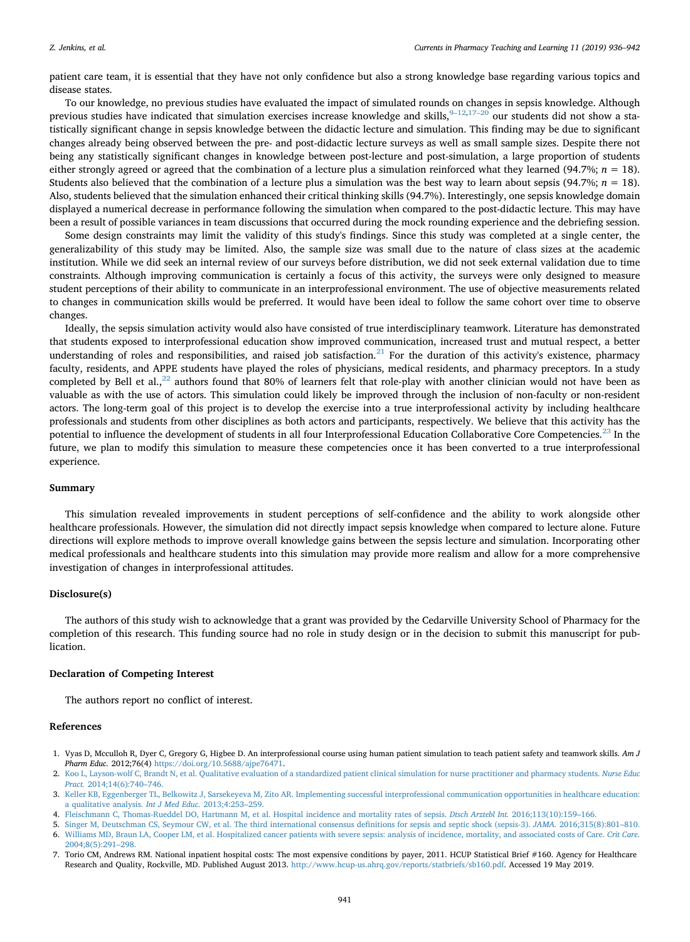patient care team, it is essential that they have not only confidence but also a strong knowledge base regarding various topics and disease states.

To our knowledge, no previous studies have evaluated the impact of simulated rounds on changes in sepsis knowledge. Although previous studies have indicated that simulation exercises increase knowledge and skills,  $9-12,17-20$  our students did not show a statistically significant change in sepsis knowledge between the didactic lecture and simulation. This finding may be due to significant changes already being observed between the pre- and post-didactic lecture surveys as well as small sample sizes. Despite there not being any statistically significant changes in knowledge between post-lecture and post-simulation, a large proportion of students either strongly agreed or agreed that the combination of a lecture plus a simulation reinforced what they learned (94.7%;  $n = 18$ ). Students also believed that the combination of a lecture plus a simulation was the best way to learn about sepsis (94.7%;  $n = 18$ ). Also, students believed that the simulation enhanced their critical thinking skills (94.7%). Interestingly, one sepsis knowledge domain displayed a numerical decrease in performance following the simulation when compared to the post-didactic lecture. This may have been a result of possible variances in team discussions that occurred during the mock rounding experience and the debriefing session.

Some design constraints may limit the validity of this study's findings. Since this study was completed at a single center, the generalizability of this study may be limited. Also, the sample size was small due to the nature of class sizes at the academic institution. While we did seek an internal review of our surveys before distribution, we did not seek external validation due to time constraints. Although improving communication is certainly a focus of this activity, the surveys were only designed to measure student perceptions of their ability to communicate in an interprofessional environment. The use of objective measurements related to changes in communication skills would be preferred. It would have been ideal to follow the same cohort over time to observe changes.

Ideally, the sepsis simulation activity would also have consisted of true interdisciplinary teamwork. Literature has demonstrated that students exposed to interprofessional education show improved communication, increased trust and mutual respect, a better understanding of roles and responsibilities, and raised job satisfaction.<sup>[21](#page-7-10)</sup> For the duration of this activity's existence, pharmacy faculty, residents, and APPE students have played the roles of physicians, medical residents, and pharmacy preceptors. In a study completed by Bell et al., $^{22}$  $^{22}$  $^{22}$  authors found that 80% of learners felt that role-play with another clinician would not have been as valuable as with the use of actors. This simulation could likely be improved through the inclusion of non-faculty or non-resident actors. The long-term goal of this project is to develop the exercise into a true interprofessional activity by including healthcare professionals and students from other disciplines as both actors and participants, respectively. We believe that this activity has the potential to influence the development of students in all four Interprofessional Education Collaborative Core Competencies.<sup>[23](#page-7-12)</sup> In the future, we plan to modify this simulation to measure these competencies once it has been converted to a true interprofessional experience.

#### **Summary**

This simulation revealed improvements in student perceptions of self-confidence and the ability to work alongside other healthcare professionals. However, the simulation did not directly impact sepsis knowledge when compared to lecture alone. Future directions will explore methods to improve overall knowledge gains between the sepsis lecture and simulation. Incorporating other medical professionals and healthcare students into this simulation may provide more realism and allow for a more comprehensive investigation of changes in interprofessional attitudes.

#### **Disclosure(s)**

The authors of this study wish to acknowledge that a grant was provided by the Cedarville University School of Pharmacy for the completion of this research. This funding source had no role in study design or in the decision to submit this manuscript for publication.

#### **Declaration of Competing Interest**

The authors report no conflict of interest.

#### **References**

- <span id="page-6-0"></span>1. Vyas D, Mcculloh R, Dyer C, Gregory G, Higbee D. An interprofessional course using human patient simulation to teach patient safety and teamwork skills. *Am J Pharm Educ.* 2012;76(4) [https://doi.org/10.5688/ajpe76471.](https://doi.org/10.5688/ajpe76471)
- 2. [Koo L, Layson-wolf C, Brandt N, et al. Qualitative evaluation of a standardized patient clinical simulation for nurse practitioner and pharmacy students.](http://refhub.elsevier.com/S1877-1297(18)30285-5/rf0010) *Nurse Educ Pract.* [2014;14\(6\):740–746.](http://refhub.elsevier.com/S1877-1297(18)30285-5/rf0010)
- 3. [Keller KB, Eggenberger TL, Belkowitz J, Sarsekeyeva M, Zito AR. Implementing successful interprofessional communication opportunities in healthcare education:](http://refhub.elsevier.com/S1877-1297(18)30285-5/rf0015) [a qualitative analysis.](http://refhub.elsevier.com/S1877-1297(18)30285-5/rf0015) *Int J Med Educ.* 2013;4:253–259.
- <span id="page-6-1"></span>4. [Fleischmann C, Thomas-Rueddel DO, Hartmann M, et al. Hospital incidence and mortality rates of sepsis.](http://refhub.elsevier.com/S1877-1297(18)30285-5/rf0020) *Dtsch Arztebl Int.* 2016;113(10):159–166.
- 5. [Singer M, Deutschman CS, Seymour CW, et al. The third international consensus definitions for sepsis and septic shock \(sepsis-3\).](http://refhub.elsevier.com/S1877-1297(18)30285-5/rf0025) *JAMA.* 2016;315(8):801–810. 6. [Williams MD, Braun LA, Cooper LM, et al. Hospitalized cancer patients with severe sepsis: analysis of incidence, mortality, and associated costs of Care.](http://refhub.elsevier.com/S1877-1297(18)30285-5/rf0030) *Crit Care.* [2004;8\(5\):291–298.](http://refhub.elsevier.com/S1877-1297(18)30285-5/rf0030)
- 7. Torio CM, Andrews RM. National inpatient hospital costs: The most expensive conditions by payer, 2011. HCUP Statistical Brief #160. Agency for Healthcare Research and Quality, Rockville, MD. Published August 2013. [http://www.hcup-us.ahrq.gov/reports/statbriefs/sb160.pdf.](http://www.hcup-us.ahrq.gov/reports/statbriefs/sb160.pdf) Accessed 19 May 2019.